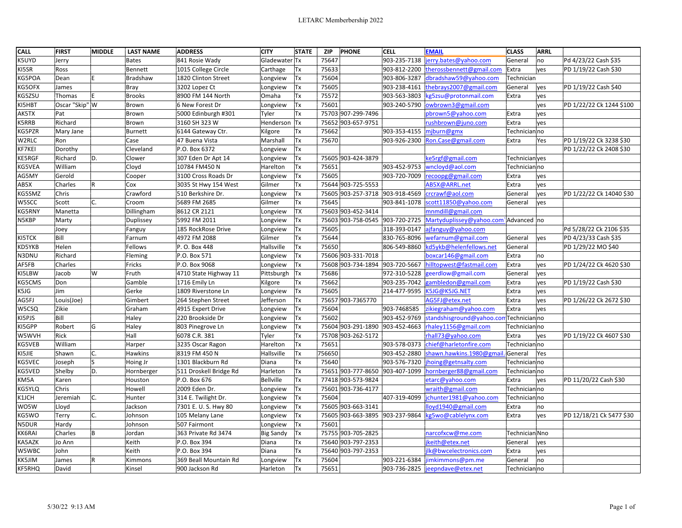| <b>CALL</b>   | <b>FIRST</b>   | <b>MIDDLE</b> | <b>LAST NAME</b> | <b>ADDRESS</b>         | <b>CITY</b>      | <b>STATE</b> | <b>ZIP</b> | <b>PHONE</b>                    | <b>CELL</b>  | <b>EMAIL</b>                          | <b>CLASS</b>   | ARRL |                          |
|---------------|----------------|---------------|------------------|------------------------|------------------|--------------|------------|---------------------------------|--------------|---------------------------------------|----------------|------|--------------------------|
| K5UYD         | Jerry          |               | <b>Bates</b>     | 841 Rosie Wady         | Gladewater Tx    |              | 75647      |                                 | 903-235-7138 | erry.bates@yahoo.com                  | General        | no   | Pd 4/23/22 Cash \$35     |
| KI5SR         | Ross           |               | Bennett          | 1015 College Circle    | Carthage         | Tx           | 75633      |                                 | 903-812-2200 | therossbennett@gmail.com              | Extra          | yes  | PD 1/19/22 Cash \$30     |
| KG5POA        | Dean           |               | Bradshaw         | 1820 Clinton Street    | Longview         | Tx           | 75604      |                                 | 903-806-3287 | dbradshaw59@yahoo.com                 | Technician     |      |                          |
| KG5OFX        | James          |               | Bray             | 3202 Lopez Ct          | Longview         | <b>Tx</b>    | 75605      |                                 | 903-238-4161 | thebrays2007@gmail.com                | General        | lyes | PD 1/19/22 Cash \$40     |
| KG5ZSU        | Thomas         | F             | <b>Brooks</b>    | 8900 FM 144 North      | Omaha            | Tx           | 75572      |                                 | 903-563-3803 | g5zsu@protonmail.com                  | Extra          | yes  |                          |
| KI5HBT        | Oscar "Skip" W |               | Brown            | 6 New Forest Dr        | Longview         | Tx           | 75601      |                                 | 903-240-5790 | owbrown3@gmail.com                    |                | yes  | PD 1/22/22 Ck 1244 \$100 |
| AK5TX         | Pat            |               | Brown            | 5000 Edinburgh #301    | Tyler            | Tx           |            | 75703 907-299-7496              |              | pbrown5@yahoo.com                     | Extra          | yes  |                          |
| K5RRB         | Richard        |               | Brown            | 3160 SH 323 W          | Henderson Tx     |              |            | 75652 903-657-9751              |              | rushbrown@juno.com                    | Extra          | yes  |                          |
| KG5PZR        | Mary Jane      |               | <b>Burnett</b>   | 6144 Gateway Ctr.      | Kilgore          | Tх           | 75662      |                                 | 903-353-4155 | mjburn@gmx                            | Technicianno   |      |                          |
| W2RLC         | Ron            |               | Case             | 47 Buena Vista         | Marshall         | Tx           | 75670      |                                 | 903-926-2300 | Ron.Case@gmail.com                    | Extra          | Yes  | PD 1/19/22 Ck 3238 \$30  |
| KF7KEI        | Dorothy        |               | Cleveland        | P.O. Box 6372          | Longview         | Tx           |            |                                 |              |                                       |                |      | PD 1/22/22 Ck 2408 \$30  |
| <b>KE5RGF</b> | Richard        | D.            | Clower           | 307 Eden Dr Apt 14     | Longview         | Tx           |            | 75605 903-424-3879              |              | ke5rgf@gmail.com                      | Technician yes |      |                          |
| KG5VEA        | William        |               | Cloyd            | 10784 FM450 N          | Harelton         | Tx           | 75651      |                                 | 903-452-9753 | wncloyd@aol.com                       | Technicianno   |      |                          |
| AG5MY         | Gerold         |               | Cooper           | 3100 Cross Roads Dr    | Longview         | <b>Tx</b>    | 75605      |                                 | 903-720-7009 | recoopg@gmail.com                     | Extra          | ves  |                          |
| AB5X          | Charles        | R             | Cox              | 3035 St Hwy 154 West   | Gilmer           | Tx           |            | 75644 903-725-5553              |              | AB5X@ARRL.net                         | Extra          | yes  |                          |
| KG5SMZ        | Chris          |               | Crawford         | 510 Berkshire Dr.      | Longview         | Tx           |            | 75605 903-257-3718 903-918-4569 |              | crcrawf@aol.com                       | General        | yes  | PD 1/22/22 Ck 14040 \$30 |
| W5SCC         | Scott          | C.            | Croom            | 5689 FM 2685           | Gilmer           | Tx           | 75645      |                                 | 903-841-1078 | scott11850@yahoo.com                  | General        | ves  |                          |
| KG5RNY        | Manetta        |               | Dillingham       | 8612 CR 2121           | Longview         | <b>TX</b>    |            | 75603 903-452-3414              |              | mnmdill@gmail.com                     |                |      |                          |
| N5KBP         | Marty          |               | Duplissey        | 5992 FM 2011           | Longview         | Tx           |            | 75603 903-758-0545              | 903-720-2725 | Martyduplissey@yahoo.com`Advanced  no |                |      |                          |
|               | Joey           |               | Fanguy           | 185 RockRose Drive     | Longview         | Tx           | 75605      |                                 | 318-393-0147 | ajfanguy@yahoo.com                    |                |      | Pd 5/28/22 Ck 2106 \$35  |
| KI5TCK        | Bill           |               | Farnum           | 4972 FM 2088           | Gilmer           | Tx           | 75644      |                                 | 830-765-8096 | wefarnum@gmail.com                    | General        | yes  | PD 4/23/33 Cash \$35     |
| KD5YKB        | Helen          |               | Fellows          | P. O. Box 448          | Hallsville       | Tx           | 75650      |                                 | 806-549-8860 | kd5ykb@helenfellows.net               | General        |      | PD 1/29/22 MO \$40       |
| N3DNU         | Richard        |               | Fleming          | P.O. Box 571           | Longview         | Tx           |            | 75606 903-331-7018              |              | boxcar146@gmail.com                   | Extra          | no   |                          |
| AF5FB         | Charles        |               | Fricks           | P.O. Box 9068          | Longview         | Tx           |            | 75608 903-734-1894 903-720-5667 |              | hilltopwest@fastmail.com              | Extra          | ves  | PD 1/24/22 Ck 4620 \$30  |
| KI5LBW        | Jacob          | W             | Fruth            | 4710 State Highway 11  | Pittsburgh       | Tx           | 75686      |                                 | 972-310-5228 | geerdlow@gmail.com                    | General        | ves  |                          |
| KG5CMS        | Don            |               | Gamble           | 1716 Emily Ln          | Kilgore          | Tх           | 75662      |                                 | 903-235-7042 | ambledon@gmail.com                    | Extra          | yes  | PD 1/19/22 Cash \$30     |
| K5JG          | Jim            |               | Gerke            | 1809 Riverstone Ln     | Longview         | Tx           | 75605      |                                 | 214-477-9595 | K5JG@K5JG.NET                         | Extra          | yes  |                          |
| AG5FJ         | Louis(Joe)     |               | Gimbert          | 264 Stephen Street     | Jefferson        | Tx           |            | 75657 903-7365770               |              | AG5FJ@etex.net                        | Extra          | yes  | PD 1/26/22 Ck 2672 \$30  |
| W5CSQ         | Zikie          |               | Graham           | 4915 Expert Drive      | Longview         | Tx           | 75604      |                                 | 903-7468585  | zikiegraham@yahoo.com                 | Extra          | yes  |                          |
| KI5PJS        | Bill           |               | Haley            | 220 Brookside Dr       | Longview         | Tx           | 75602      |                                 | 903-452-9769 | standshisground@yahoo.com             | Technicianno   |      |                          |
| KI5GPP        | Robert         | G             | Haley            | 803 Pinegrove Ln       | Longview         | Tx           |            | 75604 903-291-1890              |              | 903-452-4663 rhaley1156@gmail.com     | Technicianno   |      |                          |
| W5WVH         | Rick           |               | Hall             | 6078 C.R. 381          | Tyler            | Tx           |            | 75708 903-262-5172              |              | rhall73@yahoo.com                     | Extra          | ves  | PD 1/19/22 Ck 4607 \$30  |
| KG5VEB        | William        |               | Harper           | 3235 Oscar Ragon       | Harelton         | Tx           | 75651      |                                 | 903-578-0373 | chief@harletonfire.com                | Technicianno   |      |                          |
| KI5JIE        | Shawn          | C.            | <b>Hawkins</b>   | 8319 FM 450 N          | Hallsville       | Tx           | 756650     |                                 | 903-452-2880 | shawn.hawkins.1980@gmail.             | General        | Yes  |                          |
| KG5VEC        | Joseph         | ls            | Hoing Jr         | 1301 Blackburn Rd      | Diana            | Tx           | 75640      |                                 | 903-576-7320 | hoing@getnsalty.com                   | Technician no  |      |                          |
| KG5VED        | Shelby         | D.            | Hornberger       | 511 Droskell Bridge Rd | Harleton         | Tx           |            | 75651 903-777-8650              | 903-407-1099 | hornberger88@gmail.com                | Technicianno   |      |                          |
| KM5A          | Karen          |               | Houston          | P.O. Box 676           | <b>Bellville</b> | Tx           |            | 77418 903-573-9824              |              | etarc@yahoo.com                       | Extra          | ves  | PD 11/20/22 Cash \$30    |
| KG5YLQ        | Chris          |               | Howell           | 2009 Eden Dr.          | Longview         | Tx           |            | 75601 903-736-4177              |              | wraith@gmail.com                      | Technicianno   |      |                          |
| K1JCH         | Jeremiah       | C.            | Hunter           | 314 E. Twilight Dr.    | Longview         | Tx           | 75604      |                                 | 407-319-4099 | chunter1981@yahoo.com                 | Technicianno   |      |                          |
| WO5W          | Lloyd          |               | Jackson          | 7301 E. U. S. Hwy 80   | Longview         | Tx           |            | 75605 903-663-3141              |              | lloyd1940@gmail.com                   | Extra          | no   |                          |
| KG5WO         | Terry          | C.            | Johnson          | 105 Melany Lane        | Longview         | Tx           |            | 75605 903-663-3895 903-237-9864 |              | kg5wo@cablelynx.com                   | Extra          | yes  | PD 12/18/21 Ck 5477 \$30 |
| N5DUR         | Hardy          |               | Johnson          | 507 Fairmont           | Longview         | <b>Tx</b>    | 75601      |                                 |              |                                       |                |      |                          |
| <b>KK6RAI</b> | Charles        | lB.           | Jordan           | 363 Private Rd 3474    | Big Sandy        | Tx           |            | 75755 903-705-2825              |              | narcofxcw@me.com                      | Technician Nno |      |                          |
| KA5AZK        | Jo Ann         |               | Keith            | P.O. Box 394           | Diana            | Tх           |            | 75640 903-797-2353              |              | jkeith@etex.net                       | General        | yes  |                          |
| W5WBC         | John           |               | Keith            | P.O. Box 394           | Diana            | Tx           |            | 75640 903-797-2353              |              | jlk@bwcelectronics.com                | Extra          | ves  |                          |
| KK5JIM        | James          | R             | Kimmons          | 369 Beall Mountain Rd  | Longview         | Tx           | 75604      |                                 | 903-221-6384 | imkimmons@pm.me                       | General        | no   |                          |
| <b>KF5RHQ</b> | David          |               | Kinsel           | 900 Jackson Rd         | Harleton         | Tx           | 75651      |                                 | 903-736-2825 | jeepndave@etex.net                    | Technicianno   |      |                          |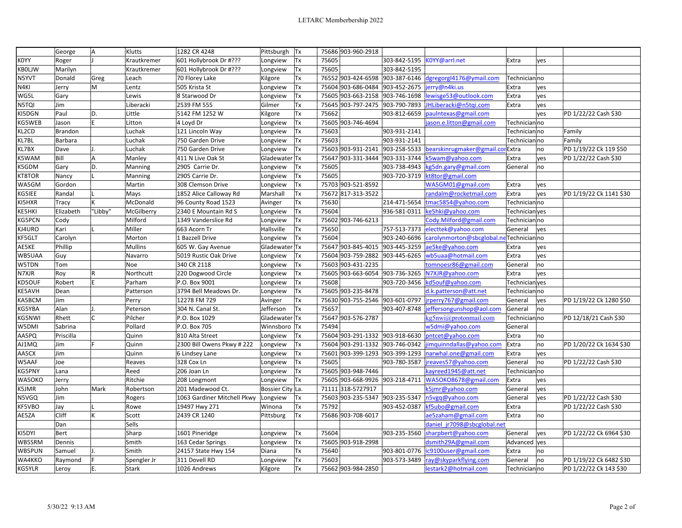|               | George         | A       | Klutts       | 1282 CR 4248                | Pittsburgh Tx    |           | 75686 903-960-2918              |                                 |                                         |                |      |                         |
|---------------|----------------|---------|--------------|-----------------------------|------------------|-----------|---------------------------------|---------------------------------|-----------------------------------------|----------------|------|-------------------------|
| <b>KOYY</b>   | Roger          |         | Krautkremer  | 601 Hollybrook Dr #???      | Longview         | Tx        | 75605                           | 303-842-5195                    | KOYY@arrl.net                           | Extra          | yes  |                         |
| <b>KBOLJW</b> | Marilyn        |         | Krautkremer  | 601 Hollybrook Dr #???      | Longview         | Tx        | 75605                           | 303-842-5195                    |                                         |                |      |                         |
| N5YVT         | Donald         | Greg    | Leach        | 70 Florey Lake              | Kilgore          | Tx        |                                 | 76552 903-424-6598 903-387-6146 | dgregorgl4176@ymail.com                 | Technicianno   |      |                         |
| N4KI          | Jerry          | M       | Lentz        | 505 Krista St               | Longview         | Tx        |                                 | 75604 903-686-0484 903-452-2675 | jerry@n4ki.us                           | Extra          | yes  |                         |
| WG5L          | Gary           |         | Lewis        | 8 Starwood Dr               | Longview         | Tx        |                                 | 75605 903-663-2158 903-746-1698 | lewisge53@outlook.com                   | Extra          | yes  |                         |
| N5TQI         | Jim            |         | Liberacki    | 2539 FM 555                 | Gilmer           | <b>Tx</b> |                                 | 75645 903-797-2475 903-790-7893 | JHLiberacki@n5tqi.com                   | Extra          | yes  |                         |
| KI5DGN        | Paul           | D.      | Little       | 5142 FM 1252 W              | Kilgore          | Tx        | 75662                           | 903-812-6659                    | paulntexas@gmail.com                    |                | yes  | PD 1/22/22 Cash \$30    |
| KG5WEB        | Jason          | E       | Litton       | 4 Loyd Dr                   | Longview         | Tx        | 75605 903-746-4694              |                                 | jason.e.litton@gmail.com                | Technicianno   |      |                         |
| KL2CD         | <b>Brandon</b> |         | Luchak       | 121 Lincoln Way             | Longview         | Tx        | 75603                           | 903-931-2141                    |                                         | Technicianno   |      | Family                  |
| KL7BL         | Barbara        |         | Luchak       | 750 Garden Drive            | Longview         | Tx        | 75603                           | 903-931-2141                    |                                         | Technicianno   |      | Family                  |
| KL7BX         | Dave           | IJ.     | Luchak       | 750 Garden Drive            | Longview         | Tx        | 75603 903-931-2141              |                                 | 903-258-5533 bearskinrugmaker@gmail.com | Extra          | no   | PD 1/19/22 Ck 119 \$50  |
| K5WAM         | Bill           | A       | Manley       | 411 N Live Oak St           | Gladewater Tx    |           | 75647 903-331-3444 903-331-3744 |                                 | :5wam@yahoo.com                         | Extra          | ves  | PD 1/22/22 Cash \$30    |
| K5GDM         | Gary           | lD.     | Manning      | 2905 Carrie Dr.             | Longview         | Tx        | 75605                           | 903-738-4943                    | g5dn.gary@gmail.com                     | General        | no   |                         |
| KT8TOR        | Nancy          |         | Manning      | 2905 Carrie Dr.             | Longview         | Tx        | 75605                           | 903-720-3719                    | kt8tor@gmail.com                        |                |      |                         |
| WA5GM         | Gordon         |         | Martin       | 308 Clemson Drive           | Longview         | <b>Tx</b> | 75703 903-521-8592              |                                 | WA5GM01@gmail.com                       | Extra          | yes  |                         |
| KG5IEE        | Randal         |         | Mays         | 1852 Alice Calloway Rd      | Marshall         | Tx        | 75672 817-313-3522              |                                 | randalm@rocketmail.com                  | Extra          | ves  | PD 1/19/22 Ck 1141 \$30 |
| KI5HXR        | Tracy          |         | McDonald     | 96 County Road 1523         | Avinger          | Tx        | 75630                           | 214-471-5654                    | tmac5854@yahoo.com                      | Technicianno   |      |                         |
| KE5HKI        | Elizabeth      | "Libby" | McGilberry   | 2340 E Mountain Rd S        | Longview         | Tx        | 75604                           | 936-581-0311                    | ke5hki@yahoo.com                        | Technician yes |      |                         |
| KG5PCN        | Cody           |         | Milford      | 1349 Vanderslice Rd         | Longview         | <b>Tx</b> | 75602 903-746-6213              |                                 | Cody.Milford@gmail.com                  | Technicianno   |      |                         |
| KJ4URO        | Kari           |         | Miller       | 663 Acorn Tr                | Hallsville       | Tx        | 75650                           | 757-513-7373                    | electtek@yahoo.com                      | General        | lyes |                         |
| KF5GLT        | Carolyn        |         | Morton       | 1 Bazzell Drive             | Longview         | Tx        | 75604                           | 903-240-6696                    | carolynmorton@sbcglobal.neTechnicianno  |                |      |                         |
| AE5KE         | Phillip        |         | Mullins      | 605 W. Gay Avenue           | Gladewater Tx    |           | 75647 903-845-4015 903-445-3259 |                                 | ae5ke@yahoo.com                         | Extra          | ves  |                         |
| WB5UAA        | Guy            |         | Navarro      | 5019 Rustic Oak Drive       | Longview         | Tx        | 75604 903-759-2882              | 903-445-6265                    | wb5uaa@hotmail.com                      | Extra          | yes  |                         |
| W5TDN         | Tom            |         | Noe          | 340 CR 2118                 | Longview         | Tx        | 75603 903-431-2235              |                                 | tomnoesr86@gmail.com                    | General        | no   |                         |
| N7XJR         | Roy            | İR.     | Northcutt    | 220 Dogwood Circle          | Longview         | Tx        |                                 | 75605 903-663-6054 903-736-3265 | N7XJR@yahoo.com                         | Extra          | ves  |                         |
| KD5OUF        | Robert         | lE      | Parham       | P.O. Box 9001               | Longview         | <b>Tx</b> | 75608                           | 903-720-3456                    | kd5ouf@yahoo.com                        | Technician yes |      |                         |
| <b>KE5AVH</b> | Dean           |         | Patterson    | 3794 Bell Meadows Dr.       | Longview         | Tx        | 75605 903-235-8478              |                                 | d.k.patterson@att.net                   | Technicianno   |      |                         |
| KA5BCM        | Jim            |         | Perry        | 12278 FM 729                | Avinger          | Tx        | 75630 903-755-2546 903-601-0797 |                                 | irperry767@gmail.com                    | General        | ves  | PD 1/19/22 Ck 1280 \$50 |
| KG5YBA        | Alan           |         | Peterson     | 304 N. Canal St.            | Jefferson        | Tx        | 75657                           | 903-407-8748                    | effersongunshop@aol.com                 | General        | no   |                         |
| KG5NWI        | Rhett          | lc      | Pilcher      | P.O. Box 1029               | Gladewater Tx    |           | 75647 903-576-2787              |                                 | kg5nwi@protonmail.com                   | Technicianno   |      | PD 12/18/21 Cash \$30   |
| W5DMI         | Sabrina        |         | Pollard      | P.O. Box 705                | Winnsboro Tx     |           | 75494                           |                                 | w5dmi@yahoo.com                         | General        |      |                         |
| AA5PQ         | Priscilla      |         | Quinn        | 810 Alta Street             | Longview         | <b>Tx</b> | 75604 903-291-1332 903-918-6630 |                                 | pntcet@yahoo.com                        | Extra          | no   |                         |
| AJ1MQ         | Jim            |         | Quinn        | 2300 Bill Owens Pkwy # 222  | Longview         | <b>Tx</b> |                                 | 75604 903-291-1332 903-746-0342 | imquinndallas@yahoo.com                 | Extra          | no   | PD 1/20/22 Ck 1634 \$30 |
| AA5CX         | Jim            |         | Quinn        | 6 Lindsey Lane              | Longview         | Tx        | 75601                           | 903-399-1293 903-399-1293       | narwhal.one@gmail.com                   | Extra          | yes  |                         |
| W5AAF         | Joe            |         | Reaves       | 328 Cox Ln                  | Longview         | <b>Tx</b> | 75605                           | 903-780-3587                    | jreaves57@yahoo.com                     | General        | no   | PD 1/22/22 Cash \$30    |
| <b>KG5PNY</b> | Lana           |         | Reed         | 206 Joan Ln                 | Longview         | <b>Tx</b> | 75605 903-948-7446              |                                 | kayreed1945@att.net                     | Technicianno   |      |                         |
| WA5OKO        | Jerry          |         | Ritchie      | 208 Longmont                | Longview         | Tx        | 75605 903-668-9926 903-218-4711 |                                 | WA5OKO8678@gmail.com                    | Extra          | yes  |                         |
| K5JMR         | John           | Mark    | Robertson    | 201 Madewood Ct.            | Bossier City La. |           | 71111 318-5727917               |                                 | k5jmr@yahoo.com                         | General        | yes  |                         |
| N5VGQ         | Jim            |         | Rogers       | 1063 Gardiner Mitchell Pkwy | Longview         | Tx        | 75603 903-235-5347 903-235-5347 |                                 | n5vgq@yahoo.com                         | General        | yes  | PD 1/22/22 Cash \$30    |
| KF5VBO        | Jay            |         | Rowe         | 19497 Hwy 271               | Winona           | Tx        | 75792                           | 903-452-0387                    | kf5ubo@gmail.com                        | Extra          |      | PD 1/22/22 Cash \$30    |
| AE5ZA         | Cliff          |         | Scott        | 2439 CR 1240                | Pittsburg        | Tx        | 75686 903-708-6017              |                                 | ae5zaham@gmail.com                      | Extra          | no   |                         |
|               | Dan            |         | Sells        |                             |                  |           |                                 |                                 | daniel jr7098@sbcglobal.net             |                |      |                         |
| KI5DYI        | <b>Bert</b>    |         | Sharp        | 1601 Pineridge              | Longview         | Tx        | 75604                           | 903-235-3560                    | sharpbert@yahoo.com                     | General        | yes  | PD 1/22/22 Ck 6964 \$30 |
| WB5SRM        | Dennis         |         | Smith        | 163 Cedar Springs           | Longview         | Tx        | 75605 903-918-2998              |                                 | dsmith29A@gmail.com                     | Advanced yes   |      |                         |
| WB5PUN        | Samuel         | IJ.     | Smith        | 24157 State Hwy 154         | Diana            | Tx        | 75640                           | 903-801-0776                    | ic9100user@gmail.com                    | Extra          | no   |                         |
| WA4KKO        | Raymond        | ١F      | Spengler Jr  | 311 Dovell RD               | Longview         | Tx        | 75603                           | 903-573-3489                    | ray@skyparkflying.com                   | General        | no   | PD 1/19/22 Ck 6482 \$30 |
| KG5YLR        | Leroy          | E.      | <b>Stark</b> | 1026 Andrews                | Kilgore          | Tx        | 75662 903-984-2850              |                                 | lestark2@hotmail.com                    | Technicianno   |      | PD 1/22/22 Ck 143 \$30  |